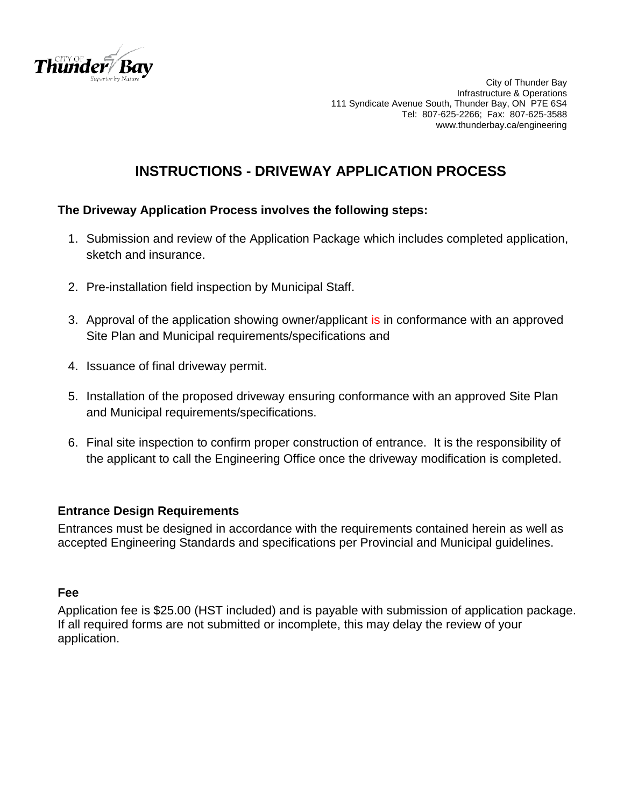

City of Thunder Bay Infrastructure & Operations 111 Syndicate Avenue South, Thunder Bay, ON P7E 6S4 Tel: 807-625-2266; Fax: 807-625-3588 www.thunderbay.ca/engineering

## **INSTRUCTIONS - DRIVEWAY APPLICATION PROCESS**

### **The Driveway Application Process involves the following steps:**

- 1. Submission and review of the Application Package which includes completed application, sketch and insurance.
- 2. Pre-installation field inspection by Municipal Staff.
- 3. Approval of the application showing owner/applicant is in conformance with an approved Site Plan and Municipal requirements/specifications and
- 4. Issuance of final driveway permit.
- 5. Installation of the proposed driveway ensuring conformance with an approved Site Plan and Municipal requirements/specifications.
- 6. Final site inspection to confirm proper construction of entrance. It is the responsibility of the applicant to call the Engineering Office once the driveway modification is completed.

### **Entrance Design Requirements**

Entrances must be designed in accordance with the requirements contained herein as well as accepted Engineering Standards and specifications per Provincial and Municipal guidelines.

### **Fee**

Application fee is \$25.00 (HST included) and is payable with submission of application package. If all required forms are not submitted or incomplete, this may delay the review of your application.